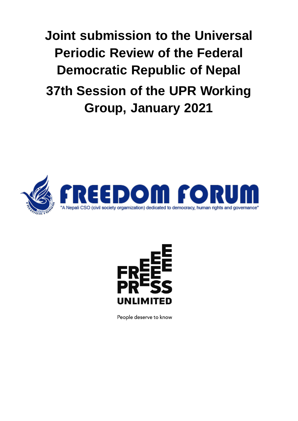**Joint submission to the Universal Periodic Review of the Federal Democratic Republic of Nepal 37th Session of the UPR Working Group, January 2021**





People deserve to know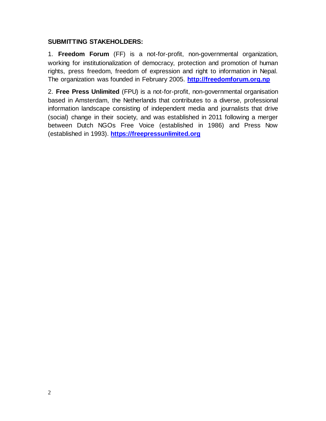#### **SUBMITTING STAKEHOLDERS:**

1. **Freedom Forum** (FF) is a not-for-profit, non-governmental organization, working for institutionalization of democracy, protection and promotion of human rights, press freedom, freedom of expression and right to information in Nepal. The organization was founded in February 2005. **[http://freedomforum.org.np](http://freedomforum.org.np/)**

2. **Free Press Unlimited** (FPU) is a not-for-profit, non-governmental organisation based in Amsterdam, the Netherlands that contributes to a diverse, professional information landscape consisting of independent media and journalists that drive (social) change in their society, and was established in 2011 following a merger between Dutch NGOs Free Voice (established in 1986) and Press Now (established in 1993). **[https://freepressunlimited.org](https://freepressunlimited.org/)**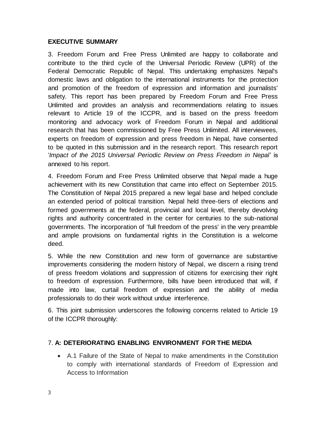### **EXECUTIVE SUMMARY**

3. Freedom Forum and Free Press Unlimited are happy to collaborate and contribute to the third cycle of the Universal Periodic Review (UPR) of the Federal Democratic Republic of Nepal. This undertaking emphasizes Nepal's domestic laws and obligation to the international instruments for the protection and promotion of the freedom of expression and information and journalists' safety. This report has been prepared by Freedom Forum and Free Press Unlimited and provides an analysis and recommendations relating to issues relevant to Article 19 of the ICCPR, and is based on the press freedom monitoring and advocacy work of Freedom Forum in Nepal and additional research that has been commissioned by Free Press Unlimited. All interviewees, experts on freedom of expression and press freedom in Nepal, have consented to be quoted in this submission and in the research report. This research report '*Impact of the 2015 Universal Periodic Review on Press Freedom in Nepal*' is annexed to his report.

4. Freedom Forum and Free Press Unlimited observe that Nepal made a huge achievement with its new Constitution that came into effect on September 2015. The Constitution of Nepal 2015 prepared a new legal base and helped conclude an extended period of political transition. Nepal held three-tiers of elections and formed governments at the federal, provincial and local level, thereby devolving rights and authority concentrated in the center for centuries to the sub-national governments. The incorporation of 'full freedom of the press' in the very preamble and ample provisions on fundamental rights in the Constitution is a welcome deed.

5. While the new Constitution and new form of governance are substantive improvements considering the modern history of Nepal, we discern a rising trend of press freedom violations and suppression of citizens for exercising their right to freedom of expression. Furthermore, bills have been introduced that will, if made into law, curtail freedom of expression and the ability of media professionals to do their work without undue interference.

6. This joint submission underscores the following concerns related to Article 19 of the ICCPR thoroughly:

### 7. **A: DETERIORATING ENABLING ENVIRONMENT FOR THE MEDIA**

 A.1 Failure of the State of Nepal to make amendments in the Constitution to comply with international standards of Freedom of Expression and Access to Information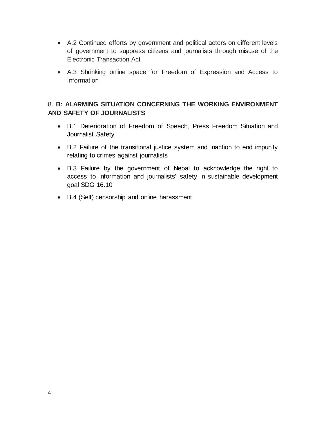- A.2 Continued efforts by government and political actors on different levels of government to suppress citizens and journalists through misuse of the Electronic Transaction Act
- A.3 Shrinking online space for Freedom of Expression and Access to Information

### 8. **B: ALARMING SITUATION CONCERNING THE WORKING ENVIRONMENT AND SAFETY OF JOURNALISTS**

- B.1 Deterioration of Freedom of Speech, Press Freedom Situation and Journalist Safety
- B.2 Failure of the transitional justice system and inaction to end impunity relating to crimes against journalists
- B.3 Failure by the government of Nepal to acknowledge the right to access to information and journalists' safety in sustainable development goal SDG 16.10
- B.4 (Self) censorship and online harassment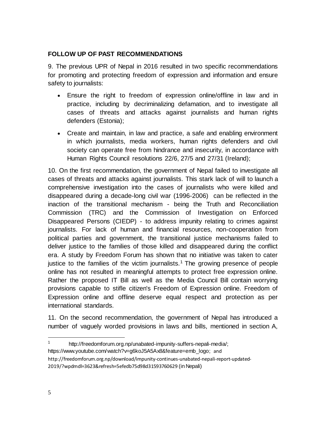### **FOLLOW UP OF PAST RECOMMENDATIONS**

9. The previous UPR of Nepal in 2016 resulted in two specific recommendations for promoting and protecting freedom of expression and information and ensure safety to journalists:

- Ensure the right to freedom of expression online/offline in law and in practice, including by decriminalizing defamation, and to investigate all cases of threats and attacks against journalists and human rights defenders (Estonia);
- Create and maintain, in law and practice, a safe and enabling environment in which journalists, media workers, human rights defenders and civil society can operate free from hindrance and insecurity, in accordance with Human Rights Council resolutions 22/6, 27/5 and 27/31 (Ireland);

10. On the first recommendation, the government of Nepal failed to investigate all cases of threats and attacks against journalists. This stark lack of will to launch a comprehensive investigation into the cases of journalists who were killed and disappeared during a decade-long civil war (1996-2006) can be reflected in the inaction of the transitional mechanism - being the Truth and Reconciliation Commission (TRC) and the Commission of Investigation on Enforced Disappeared Persons (CIEDP) - to address impunity relating to crimes against journalists. For lack of human and financial resources, non-cooperation from political parties and government, the transitional justice mechanisms failed to deliver justice to the families of those killed and disappeared during the conflict era. A study by Freedom Forum has shown that no initiative was taken to cater justice to the families of the victim journalists.<sup>1</sup> The growing presence of people online has not resulted in meaningful attempts to protect free expression online. Rather the proposed IT Bill as well as the Media Council Bill contain worrying provisions capable to stifle citizen's Freedom of Expression online. Freedom of Expression online and offline deserve equal respect and protection as per international standards.

11. On the second recommendation, the government of Nepal has introduced a number of vaguely worded provisions in laws and bills, mentioned in section A,

- [https://www.youtube.com/watch?v=g6koJ5A5Ax8&feature=emb\\_logo;](https://www.youtube.com/watch?v=g6koJ5A5Ax8&feature=emb_logo) and
- [http://freedomforum.org.np/download/impunity-continues-unabated-nepali-report-updated-](http://freedomforum.org.np/download/impunity-continues-unabated-nepali-report-updated-2019/?wpdmdl=3623&refresh=5efedb75d98d31593760629)[2019/?wpdmdl=3623&refresh=5efedb75d98d31593760629](http://freedomforum.org.np/download/impunity-continues-unabated-nepali-report-updated-2019/?wpdmdl=3623&refresh=5efedb75d98d31593760629) (in Nepali)

 $1$ http://freedomforum.org.np/unabated-impunity-suffers-nepali-media/;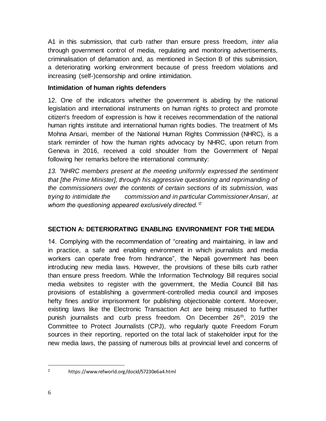A1 in this submission, that curb rather than ensure press freedom, *inter alia*  through government control of media, regulating and monitoring advertisements, criminalisation of defamation and, as mentioned in Section B of this submission, a deteriorating working environment because of press freedom violations and increasing (self-)censorship and online intimidation.

### **Intimidation of human rights defenders**

12. One of the indicators whether the government is abiding by the national legislation and international instruments on human rights to protect and promote citizen's freedom of expression is how it receives recommendation of the national human rights institute and international human rights bodies. The treatment of Ms Mohna Ansari, member of the National Human Rights Commission (NHRC), is a stark reminder of how the human rights advocacy by NHRC, upon return from Geneva in 2016, received a cold shoulder from the Government of Nepal following her remarks before the international community:

*13. 'NHRC members present at the meeting uniformly expressed the sentiment that [the Prime Minister], through his aggressive questioning and reprimanding of the commissioners over the contents of certain sections of its submission, was trying to intimidate the commission and in particular Commissioner Ansari, at whom the questioning appeared exclusively directed.'<sup>2</sup>*

### **SECTION A: DETERIORATING ENABLING ENVIRONMENT FOR THE MEDIA**

14. Complying with the recommendation of "creating and maintaining, in law and in practice, a safe and enabling environment in which journalists and media workers can operate free from hindrance", the Nepali government has been introducing new media laws. However, the provisions of these bills curb rather than ensure press freedom. While the Information Technology Bill requires social media websites to register with the government, the Media Council Bill has provisions of establishing a government-controlled media council and imposes hefty fines and/or imprisonment for publishing objectionable content. Moreover, existing laws like the Electronic Transaction Act are being misused to further punish journalists and curb press freedom. On December 26<sup>th</sup>, 2019 the Committee to Protect Journalists (CPJ), who regularly quote Freedom Forum sources in their reporting, reported on the total lack of stakeholder input for the new media laws, the passing of numerous bills at provincial level and concerns of

<sup>2</sup> https://www.refworld.org/docid/57230e6a4.html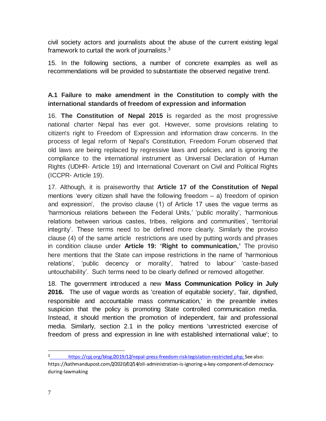civil society actors and journalists about the abuse of the current existing legal framework to curtail the work of journalists. $3$ 

15. In the following sections, a number of concrete examples as well as recommendations will be provided to substantiate the observed negative trend.

# **A.1 Failure to make amendment in the Constitution to comply with the international standards of freedom of expression and information**

16. **The Constitution of Nepal 2015 i**s regarded as the most progressive national charter Nepal has ever got. However, some provisions relating to citizen's right to Freedom of Expression and information draw concerns. In the process of legal reform of Nepal's Constitution, Freedom Forum observed that old laws are being replaced by regressive laws and policies, and is ignoring the compliance to the international instrument as Universal Declaration of Human Rights (UDHR- Article 19) and International Covenant on Civil and Political Rights (ICCPR- Article 19).

17. Although, it is praiseworthy that **Article 17 of the Constitution of Nepal** mentions 'every citizen shall have the following freedom  $-$  a) freedom of opinion and expression', the proviso clause (1) of Article 17 uses the vague terms as 'harmonious relations between the Federal Units,' 'public morality', 'harmonious relations between various castes, tribes, religions and communities', 'territorial integrity'. These terms need to be defined more clearly. Similarly the proviso clause (4) of the same article restrictions are used by putting words and phrases in condition clause under **Article 19: 'Right to communication,'** The proviso here mentions that the State can impose restrictions in the name of 'harmonious relations', 'public decency or morality', 'hatred to labour' 'caste-based untouchability'. Such terms need to be clearly defined or removed altogether.

18. The government introduced a new **Mass Communication Policy in July 2016.** The use of vague words as 'creation of equitable society', 'fair, dignified, responsible and accountable mass communication,' in the preamble invites suspicion that the policy is promoting State controlled communication media. Instead, it should mention the promotion of independent, fair and professional media. Similarly, section 2.1 in the policy mentions 'unrestricted exercise of freedom of press and expression in line with established international value'; to

 $\overline{a}$ <sup>3</sup> [https://cpj.org/blog/2019/12/nepal-press-freedom-risk-legislation-restricted.php;](https://cpj.org/blog/2019/12/nepal-press-freedom-risk-legislation-restricted.php) See also:

https://kathmandupost.com/2/2020/02/14/oli-administration-is-ignoring-a-key-component-of-democracyduring-lawmaking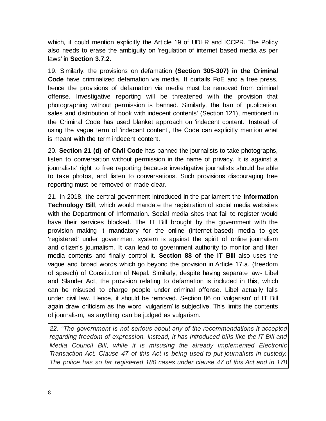which, it could mention explicitly the Article 19 of UDHR and ICCPR. The Policy also needs to erase the ambiguity on 'regulation of internet based media as per laws' in **Section 3.7.2**.

19. Similarly, the provisions on defamation **(Section 305-307) in the Criminal Code** have criminalized defamation via media. It curtails FoE and a free press, hence the provisions of defamation via media must be removed from criminal offense. Investigative reporting will be threatened with the provision that photographing without permission is banned. Similarly, the ban of 'publication, sales and distribution of book with indecent contents' (Section 121), mentioned in the Criminal Code has used blanket approach on 'indecent content.' Instead of using the vague term of 'indecent content', the Code can explicitly mention what is meant with the term indecent content.

20. **Section 21 (d) of Civil Code** has banned the journalists to take photographs, listen to conversation without permission in the name of privacy. It is against a journalists' right to free reporting because investigative journalists should be able to take photos, and listen to conversations. Such provisions discouraging free reporting must be removed or made clear.

21. In 2018, the central government introduced in the parliament the **Information Technology Bill**, which would mandate the registration of social media websites with the Department of Information. Social media sites that fail to register would have their services blocked. The IT Bill brought by the government with the provision making it mandatory for the online (internet-based) media to get 'registered' under government system is against the spirit of online journalism and citizen's journalism. It can lead to government authority to monitor and filter media contents and finally control it. **Section 88 of the IT Bill** also uses the vague and broad words which go beyond the provision in Article 17.a. (freedom of speech) of Constitution of Nepal. Similarly, despite having separate law- Libel and Slander Act, the provision relating to defamation is included in this, which can be misused to charge people under criminal offense. Libel actually falls under civil law. Hence, it should be removed. Section 86 on 'vulgarism' of IT Bill again draw criticism as the word 'vulgarism' is subjective. This limits the contents of journalism, as anything can be judged as vulgarism.

*22. "The government is not serious about any of the recommendations it accepted regarding freedom of expression. Instead, it has introduced bills like the IT Bill and Media Council Bill, while it is misusing the already implemented Electronic Transaction Act. Clause 47 of this Act is being used to put journalists in custody. The police has so far registered 180 cases under clause 47 of this Act and in 178*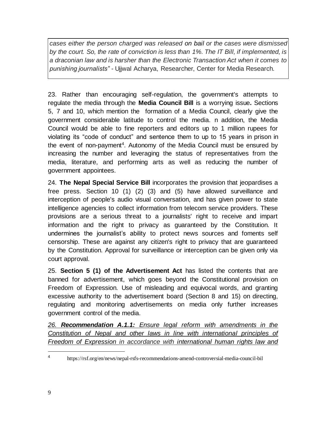*cases either the person charged was released on bail or the cases were dismissed by the court. So, the rate of conviction is less than 1%. The IT Bill, if implemented, is a draconian law and is harsher than the Electronic Transaction Act when it comes to punishing journalists" -* Ujjwal Acharya, Researcher, Center for Media Research.

23. Rather than encouraging self-regulation, the government's attempts to regulate the media through the **Media Council Bill** is a worrying issue**.** Sections 5, 7 and 10, which mention the formation of a Media Council, clearly give the government considerable latitude to control the media. n addition, the Media Council would be able to fine reporters and editors up to 1 million rupees for violating its "code of conduct" and sentence them to up to 15 years in prison in the event of non-payment<sup>4</sup>. Autonomy of the Media Council must be ensured by increasing the number and leveraging the status of representatives from the media, literature, and performing arts as well as reducing the number of government appointees.

24. **The Nepal Special Service Bill** incorporates the provision that jeopardises a free press. Section 10 (1) (2) (3) and (5) have allowed surveillance and interception of people's audio visual conversation, and has given power to state intelligence agencies to collect information from telecom service providers. These provisions are a serious threat to a journalists' right to receive and impart information and the right to privacy as guaranteed by the Constitution. It undermines the journalist's ability to protect news sources and foments self censorship. These are against any citizen's right to privacy that are guaranteed by the Constitution. Approval for surveillance or interception can be given only via court approval.

25. **Section 5 (1) of the Advertisement Act** has listed the contents that are banned for advertisement, which goes beyond the Constitutional provision on Freedom of Expression. Use of misleading and equivocal words, and granting excessive authority to the advertisement board (Section 8 and 15) on directing, regulating and monitoring advertisements on media only further increases government control of the media.

*26. Recommendation A.1.1: Ensure legal reform with amendments in the Constitution of Nepal and other laws in line with international principles of Freedom of Expression in accordance with international human rights law and* 

<sup>4</sup> https://rsf.org/en/news/nepal-rsfs-recommendations-amend-controversial-media-council-bil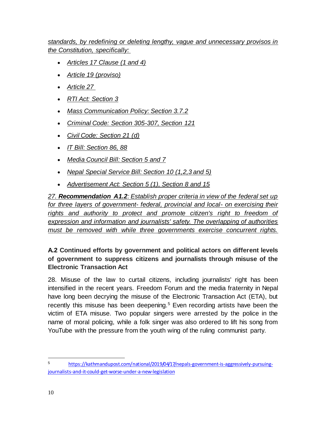*standards, by redefining or deleting lengthy, vague and unnecessary provisos in the Constitution, specifically:* 

- *Articles 17 Clause (1 and 4)*
- *Article 19 (proviso)*
- *Article 27*
- *RTI Act: Section 3*
- *Mass Communication Policy: Section 3.7.2*
- *Criminal Code: Section 305-307, Section 121*
- *Civil Code: Section 21 (d)*
- *IT Bill: Section 86, 88*
- *Media Council Bill: Section 5 and 7*
- *Nepal Special Service Bill: Section 10 (1,2,3 and 5)*
- *Advertisement Act: Section 5 (1), Section 8 and 15*

*27. Recommendation A1.2: Establish proper criteria in view of the federal set up for three layers of government- federal, provincial and local- on exercising their*  rights and authority to protect and promote citizen's right to freedom of *expression and information and journalists' safety. The overlapping of authorities must be removed with while three governments exercise concurrent rights.*

# **A.2 Continued efforts by government and political actors on different levels of government to suppress citizens and journalists through misuse of the Electronic Transaction Act**

28. Misuse of the law to curtail citizens, including journalists' right has been intensified in the recent years. Freedom Forum and the media fraternity in Nepal have long been decrying the misuse of the Electronic Transaction Act (ETA), but recently this misuse has been deepening.<sup>5</sup> Even recording artists have been the victim of ETA misuse. Two popular singers were arrested by the police in the name of moral policing, while a folk singer was also ordered to lift his song from YouTube with the pressure from the youth wing of the ruling communist party.

<sup>5</sup> [https://kathmandupost.com/national/2019/04/17/nepals-government-is-aggressively-pursuing](https://kathmandupost.com/national/2019/04/17/nepals-government-is-aggressively-pursuing-journalists-and-it-could-get-worse-under-a-new-legislation)[journalists-and-it-could-get-worse-under-a-new-legislation](https://kathmandupost.com/national/2019/04/17/nepals-government-is-aggressively-pursuing-journalists-and-it-could-get-worse-under-a-new-legislation)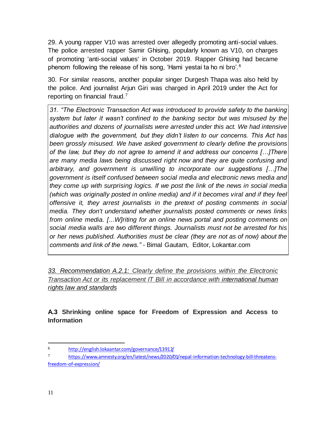29. A young rapper V10 was arrested over allegedly promoting anti-social values. The police arrested rapper Samir Ghising, popularly known as V10, on charges of promoting 'anti-social values' in October 2019. Rapper Ghising had became phenom following the release of his song, 'Hami yestai ta ho ni bro'.<sup>6</sup>

30. For similar reasons, another popular singer Durgesh Thapa was also held by the police. And journalist Arjun Giri was charged in April 2019 under the Act for reporting on financial fraud.<sup>7</sup>

*31. "The Electronic Transaction Act was introduced to provide safety to the banking system but later it wasn't confined to the banking sector but was misused by the authorities and dozens of journalists were arrested under this act. We had intensive dialogue with the government, but they didn't listen to our concerns. This Act has been grossly misused. We have asked government to clearly define the provisions of the law, but they do not agree to amend it and address our concerns […]There are many media laws being discussed right now and they are quite confusing and arbitrary, and government is unwilling to incorporate our suggestions […]The government is itself confused between social media and electronic news media and they come up with surprising logics. If we post the link of the news in social media (which was originally posted in online media) and if it becomes viral and if they feel offensive it, they arrest journalists in the pretext of posting comments in social media. They don't understand whether journalists posted comments or news links from online media. [...W]riting for an online news portal and posting comments on social media walls are two different things. Journalists must not be arrested for his or her news published. Authorities must be clear (they are not as of now) about the comments and link of the news." -* Bimal Gautam, Editor, Lokantar.com

*33. Recommendation A.2.1: Clearly define the provisions within the Electronic Transaction Act or its replacement IT Bill in accordance with international human rights law and standards*

**A.3 Shrinking online space for Freedom of Expression and Access to Information**

 $\overline{a}$ <sup>6</sup> <http://english.lokaantar.com/governance/13912/>

<sup>7</sup> [https://www.amnesty.org/en/latest/news/2020/01/nepal-information-technology-bill-threatens](https://www.amnesty.org/en/latest/news/2020/01/nepal-information-technology-bill-threatens-freedom-of-expression/)[freedom-of-expression/](https://www.amnesty.org/en/latest/news/2020/01/nepal-information-technology-bill-threatens-freedom-of-expression/)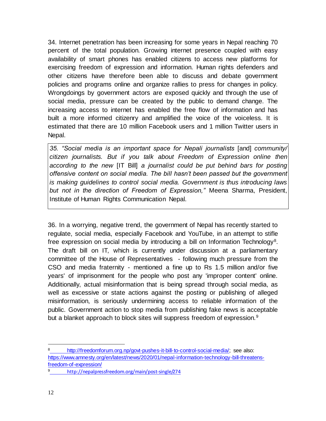34. Internet penetration has been increasing for some years in Nepal reaching 70 percent of the total population. Growing internet presence coupled with easy availability of smart phones has enabled citizens to access new platforms for exercising freedom of expression and information. Human rights defenders and other citizens have therefore been able to discuss and debate government policies and programs online and organize rallies to press for changes in policy. Wrongdoings by government actors are exposed quickly and through the use of social media, pressure can be created by the public to demand change. The increasing access to internet has enabled the free flow of information and has built a more informed citizenry and amplified the voice of the voiceless. It is estimated that there are 10 million Facebook users and 1 million Twitter users in Nepal.

*35. "Social media is an important space for Nepali journalists* [and] *community/ citizen journalists. But if you talk about Freedom of Expression online then according to the new* [IT Bill] *a journalist could be put behind bars for posting offensive content on social media. The bill hasn't been passed but the government is making guidelines to control social media. Government is thus introducing laws but not in the direction of Freedom of Expression,"* Meena Sharma, President, Institute of Human Rights Communication Nepal.

36. In a worrying, negative trend, the government of Nepal has recently started to regulate, social media, especially Facebook and YouTube, in an attempt to stifle free expression on social media by introducing a bill on Information Technology<sup>8</sup>. The draft bill on IT, which is currently under discussion at a parliamentary committee of the House of Representatives - following much pressure from the CSO and media fraternity - mentioned a fine up to Rs 1.5 million and/or five years' of imprisonment for the people who post any 'improper content' online. Additionally, actual misinformation that is being spread through social media, as well as excessive or state actions against the posting or publishing of alleged misinformation, is seriously undermining access to reliable information of the public. Government action to stop media from publishing fake news is acceptable but a blanket approach to block sites will suppress freedom of expression.<sup>9</sup>

 $\overline{a}$ <sup>8</sup> [http://freedomforum.org.np/govt-pushes-it-bill-to-control-social-media/;](http://freedomforum.org.np/govt-pushes-it-bill-to-control-social-media/) see also: [https://www.amnesty.org/en/latest/news/2020/01/nepal-information-technology-bill-threatens](https://www.amnesty.org/en/latest/news/2020/01/nepal-information-technology-bill-threatens-freedom-of-expression/)[freedom-of-expression/](https://www.amnesty.org/en/latest/news/2020/01/nepal-information-technology-bill-threatens-freedom-of-expression/)

<sup>9</sup> <http://nepalpressfreedom.org/main/post-single/274>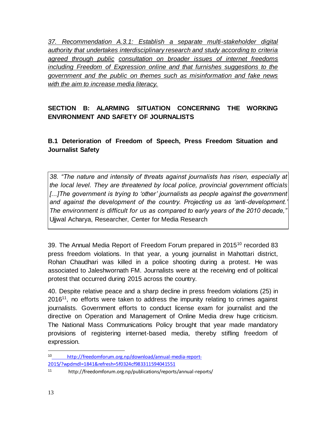*37. Recommendation A.3.1: Establish a separate multi-stakeholder digital authority that undertakes interdisciplinary research and study according to criteria agreed through public consultation on broader issues of internet freedoms including Freedom of Expression online and that furnishes suggestions to the government and the public on themes such as misinformation and fake news with the aim to increase media literacy.*

# **SECTION B: ALARMING SITUATION CONCERNING THE WORKING ENVIRONMENT AND SAFETY OF JOURNALISTS**

**B.1 Deterioration of Freedom of Speech, Press Freedom Situation and Journalist Safety**

*38. "The nature and intensity of threats against journalists has risen, especially at the local level. They are threatened by local police, provincial government officials*  [...] The government is trying to 'other' journalists as people against the government *and against the development of the country. Projecting us as 'anti-development.' The environment is difficult for us as compared to early years of the 2010 decade,"* Ujjwal Acharya, Researcher, Center for Media Research

39. The Annual Media Report of Freedom Forum prepared in 2015<sup>10</sup> recorded 83 press freedom violations. In that year, a young journalist in Mahottari district, Rohan Chaudhari was killed in a police shooting during a protest. He was associated to Jaleshwornath FM. Journalists were at the receiving end of political protest that occurred during 2015 across the country.

40. Despite relative peace and a sharp decline in press freedom violations (25) in  $2016<sup>11</sup>$ , no efforts were taken to address the impunity relating to crimes against journalists. Government efforts to conduct license exam for journalist and the directive on Operation and Management of Online Media drew huge criticism. The National Mass Communications Policy brought that year made mandatory provisions of registering internet-based media, thereby stifling freedom of expression.

 $\overline{a}$ <sup>10</sup> [http://freedomforum.org.np/download/annual-media-report-](http://freedomforum.org.np/download/annual-media-report-2015/?wpdmdl=1841&refresh=5f0324cf983311594041551)[2015/?wpdmdl=1841&refresh=5f0324cf983311594041551](http://freedomforum.org.np/download/annual-media-report-2015/?wpdmdl=1841&refresh=5f0324cf983311594041551)

<sup>11</sup> http://freedomforum.org.np/publications/reports/annual-reports/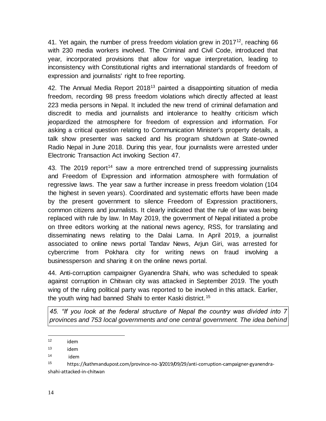41. Yet again, the number of press freedom violation grew in 2017<sup>12</sup>, reaching 66 with 230 media workers involved. The Criminal and Civil Code, introduced that year, incorporated provisions that allow for vague interpretation, leading to inconsistency with Constitutional rights and international standards of freedom of expression and journalists' right to free reporting.

42. The Annual Media Report  $2018<sup>13</sup>$  painted a disappointing situation of media freedom, recording 98 press freedom violations which directly affected at least 223 media persons in Nepal. It included the new trend of criminal defamation and discredit to media and journalists and intolerance to healthy criticism which jeopardized the atmosphere for freedom of expression and information. For asking a critical question relating to Communication Minister's property details, a talk show presenter was sacked and his program shutdown at State-owned Radio Nepal in June 2018. During this year, four journalists were arrested under Electronic Transaction Act invoking Section 47.

43. The 2019 report<sup>14</sup> saw a more entrenched trend of suppressing journalists and Freedom of Expression and information atmosphere with formulation of regressive laws. The year saw a further increase in press freedom violation (104 the highest in seven years). Coordinated and systematic efforts have been made by the present government to silence Freedom of Expression practitioners, common citizens and journalists. It clearly indicated that the rule of law was being replaced with rule by law. In May 2019, the government of Nepal initiated a probe on three editors working at the national news agency, RSS, for translating and disseminating news relating to the Dalai Lama. In April 2019, a journalist associated to online news portal Tandav News, Arjun Giri, was arrested for cybercrime from Pokhara city for writing news on fraud involving a businessperson and sharing it on the online news portal.

44. Anti-corruption campaigner Gyanendra Shahi, who was scheduled to speak against corruption in Chitwan city was attacked in September 2019. The youth wing of the ruling political party was reported to be involved in this attack. Earlier, the youth wing had banned Shahi to enter Kaski district.<sup>15</sup>

*45. "If you look at the federal structure of Nepal the country was divided into 7 provinces and 753 local governments and one central government. The idea behind* 

 $\overline{a}$ <sup>12</sup> idem

<sup>13</sup> idem

<sup>14</sup> idem

<sup>15</sup> https://kathmandupost.com/province-no-3/2019/09/29/anti-corruption-campaigner-gyanendrashahi-attacked-in-chitwan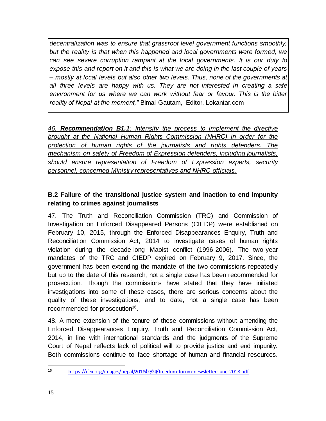*decentralization was to ensure that grassroot level government functions smoothly, but the reality is that when this happened and local governments were formed, we can see severe corruption rampant at the local governments. It is our duty to expose this and report on it and this is what we are doing in the last couple of years – mostly at local levels but also other two levels. Thus, none of the governments at all three levels are happy with us. They are not interested in creating a safe environment for us where we can work without fear or favour. This is the bitter reality of Nepal at the moment,"* Bimal Gautam, Editor, Lokantar.com

*46. Recommendation B1.1: Intensify the process to implement the directive brought at the National Human Rights Commission (NHRC) in order for the protection of human rights of the journalists and rights defenders. The mechanism on safety of Freedom of Expression defenders, including journalists, should ensure representation of Freedom of Expression experts, security personnel, concerned Ministry representatives and NHRC officials.*

## **B.2 Failure of the transitional justice system and inaction to end impunity relating to crimes against journalists**

47. The Truth and Reconciliation Commission (TRC) and Commission of Investigation on Enforced Disappeared Persons (CIEDP) were established on February 10, 2015, through the Enforced Disappearances Enquiry, Truth and Reconciliation Commission Act, 2014 to investigate cases of human rights violation during the decade-long Maoist conflict (1996-2006). The two-year mandates of the TRC and CIEDP expired on February 9, 2017. Since, the government has been extending the mandate of the two commissions repeatedly but up to the date of this research, not a single case has been recommended for prosecution. Though the commissions have stated that they have initiated investigations into some of these cases, there are serious concerns about the quality of these investigations, and to date, not a single case has been recommended for prosecution<sup>16</sup>.

48. A mere extension of the tenure of these commissions without amending the Enforced Disappearances Enquiry, Truth and Reconciliation Commission Act, 2014, in line with international standards and the judgments of the Supreme Court of Nepal reflects lack of political will to provide justice and end impunity. Both commissions continue to face shortage of human and financial resources.

 $\overline{a}$ <sup>16</sup> <https://ifex.org/images/nepal/2018/07/24/freedom-forum-newsletter-june-2018.pdf>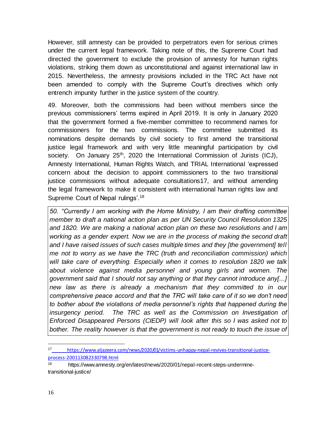However, still amnesty can be provided to perpetrators even for serious crimes under the current legal framework. Taking note of this, the Supreme Court had directed the government to exclude the provision of amnesty for human rights violations, striking them down as unconstitutional and against international law in 2015. Nevertheless, the amnesty provisions included in the TRC Act have not been amended to comply with the Supreme Court's directives which only entrench impunity further in the justice system of the country.

49. Moreover, both the commissions had been without members since the previous commissioners' terms expired in April 2019. It is only in January 2020 that the government formed a five-member committee to recommend names for commissioners for the two commissions. The committee submitted its nominations despite demands by civil society to first amend the transitional justice legal framework and with very little meaningful participation by civil society. On January  $25<sup>th</sup>$ , 2020 the International Commission of Jurists (ICJ), Amnesty International, Human Rights Watch, and TRIAL International 'expressed concern about the decision to appoint commissioners to the two transitional justice commissions without adequate consultations17, and without amending the legal framework to make it consistent with international human rights law and Supreme Court of Nepal rulings'.<sup>18</sup>

*50. "Currently I am working with the Home Ministry, I am their drafting committee member to draft a national action plan as per UN Security Council Resolution 1325 and 1820. We are making a national action plan on these two resolutions and I am*  working as a gender expert. Now we are in the process of making the second draft *and I have raised issues of such cases multiple times and they [the government] tell me not to worry as we have the TRC (truth and reconciliation commission) which will take care of everything. Especially when it comes to resolution 1820 we talk about violence against media personnel and young girls and women. The government said that I should not say anything or that they cannot introduce any[...] new law as there is already a mechanism that they committed to in our comprehensive peace accord and that the TRC will take care of it so we don't need to bother about the violations of media personnel's rights that happened during the*  insurgency period. The TRC as well as the Commission on Investigation of *Enforced Disappeared Persons (CIEDP) will look after this so I was asked not to bother. The reality however is that the government is not ready to touch the issue of* 

 $\overline{a}$ <sup>17</sup> [https://www.aljazeera.com/news/2020/01/victims-unhappy-nepal-revives-transitional-justice](https://www.aljazeera.com/news/2020/01/victims-unhappy-nepal-revives-transitional-justice-process-200113082330798.html)[process-200113082330798.html](https://www.aljazeera.com/news/2020/01/victims-unhappy-nepal-revives-transitional-justice-process-200113082330798.html)

<sup>18</sup> [https://www.amnesty.org/en/latest/news/2020/01/nepal-recent-steps-undermine](https://www.amnesty.org/en/latest/news/2020/01/nepal-recent-steps-undermine-transitional-justice/)[transitional-justice/](https://www.amnesty.org/en/latest/news/2020/01/nepal-recent-steps-undermine-transitional-justice/)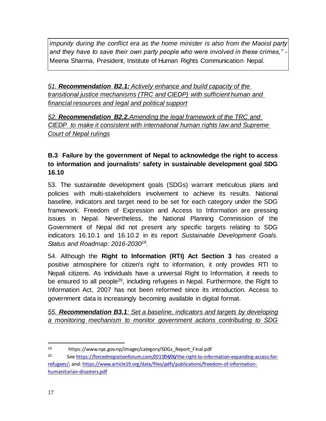*impunity during the conflict era as the home minister is also from the Maoist party and they have to save their own party people who were involved in these crimes,"* - Meena Sharma, President, Institute of Human Rights Communication Nepal.

*51. Recommendation B2.1: Actively enhance and build capacity of the transitional justice mechanisms (TRC and CIEDP) with sufficient human and financial resources and legal and political support*

*52. Recommendation B2.2.Amending the legal framework of the TRC and CIEDP to make it consistent with international human rights law and Supreme Court of Nepal rulings*

# **B.3 Failure by the government of Nepal to acknowledge the right to access to information and journalists' safety in sustainable development goal SDG 16.10**

53. The sustainable development goals (SDGs) warrant meticulous plans and policies with multi-stakeholders involvement to achieve its results. National baseline, indicators and target need to be set for each category under the SDG framework. Freedom of Expression and Access to Information are pressing issues in Nepal. Nevertheless, the National Planning Commission of the Government of Nepal did not present any specific targets relating to SDG indicators 16.10.1 and 16.10.2 in its report *Sustainable Development Goals. Status and Roadmap: 2016-2030<sup>19</sup>* .

54. Although the **Right to Information (RTI) Act Section 3** has created a positive atmosphere for citizen's right to information, it only provides RTI to Nepali citizens. As individuals have a universal Right to Information, it needs to be ensured to all people<sup>20</sup>, including refugees in Nepal. Furthermore, the Right to Information Act, 2007 has not been reformed since its introduction. Access to government data is increasingly becoming available in digital format.

*55. Recommendation B3.1: Set a baseline, indicators and targets by developing a monitoring mechanism to monitor government actions contributing to SDG* 

 $\overline{a}$ <sup>19</sup> https://www.npc.gov.np/images/category/SDGs\_Report\_Final.pdf

<sup>&</sup>lt;sup>20</sup> See [https://forcedmigrationforum.com/2017/04/06/the-right-to-information-expanding-access-for](https://forcedmigrationforum.com/2017/04/06/the-right-to-information-expanding-access-for-refugees/)[refugees/;](https://forcedmigrationforum.com/2017/04/06/the-right-to-information-expanding-access-for-refugees/) and[: https://www.article19.org/data/files/pdfs/publications/freedom-of-information](https://www.article19.org/data/files/pdfs/publications/freedom-of-information-humanitarian-disasters.pdf)[humanitarian-disasters.pdf](https://www.article19.org/data/files/pdfs/publications/freedom-of-information-humanitarian-disasters.pdf)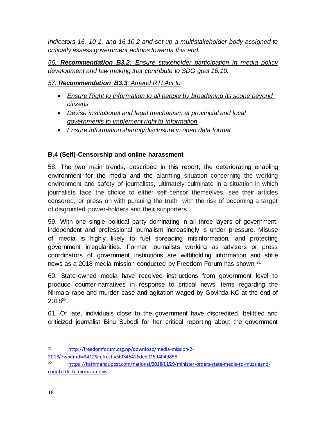*indicators 16. 10 1. and 16.10.2 and set up a multistakeholder body assigned to critically assess government actions towards this end.*

*56. Recommendation B3.2: Ensure stakeholder participation in media policy development and law making that contribute to SDG goal 16.10.*

### *57. Recommendation B3.3: Amend RTI Act to*

- *Ensure Right to Information to all people by broadening its scope beyond citizens*
- *Devise institutional and legal mechanism at provincial and local governments to implement right to information*
- *Ensure information sharing/disclosure in open data format*

### **B.4 (Self)-Censorship and online harassment**

58. The two main trends, described in this report, the deteriorating enabling environment for the media and the alarming situation concerning the working environment and safety of journalists, ultimately culminate in a situation in which journalists face the choice to either self-censor themselves, see their articles censored, or press on with pursuing the truth with the risk of becoming a target of disgruntled power-holders and their supporters.

59. With one single political party dominating in all three-layers of government, independent and professional journalism increasingly is under pressure. Misuse of media is highly likely to fuel spreading misinformation, and protecting government irregularities. Former journalists working as advisers or press coordinators of government institutions are withholding information and stifle news as a 2018 media mission conducted by Freedom Forum has shown.<sup>21</sup>

60. State-owned media have received instructions from government level to produce counter-narratives in response to critical news items regarding the Nirmala rape-and-murder case and agitation waged by Govinda KC at the end of 2018<sup>22</sup>.

61. Of late, individuals close to the government have discredited, belittled and criticized journalist Binu Subedi for her critical reporting about the government

<sup>21</sup> [http://freedomforum.org.np/download/media-mission-2-](http://freedomforum.org.np/download/media-mission-2-2018/?wpdmdl=3412&refresh=5f0345426deb01594049858) [2018/?wpdmdl=3412&refresh=5f0345426deb01594049858](http://freedomforum.org.np/download/media-mission-2-2018/?wpdmdl=3412&refresh=5f0345426deb01594049858)

<sup>22</sup> [https://kathmandupost.com/national/2018/11/29/minister-orders-state-media-to-muzzleand](https://kathmandupost.com/national/2018/11/29/minister-orders-state-media-to-muzzleand-counterdr-kc-nirmala-news)[counterdr-kc-nirmala-news](https://kathmandupost.com/national/2018/11/29/minister-orders-state-media-to-muzzleand-counterdr-kc-nirmala-news)